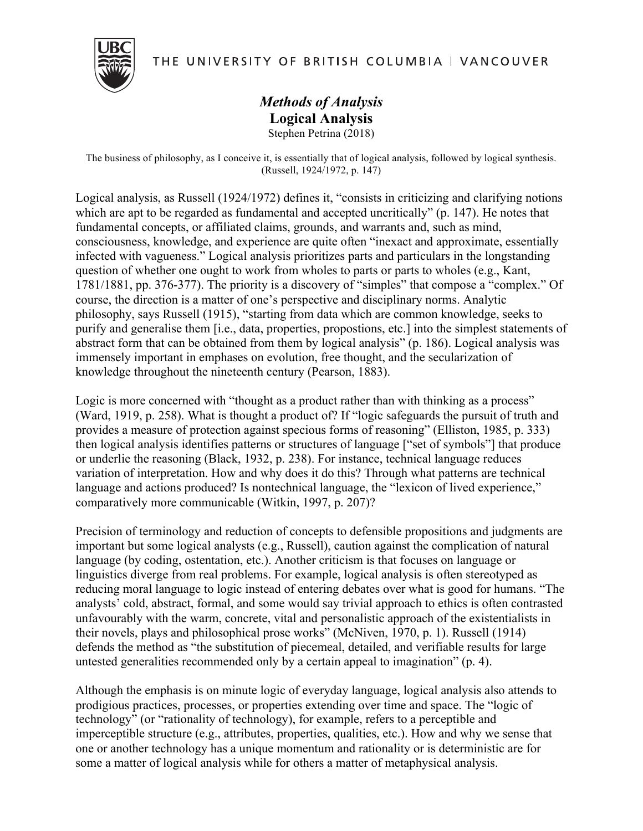

THE UNIVERSITY OF BRITISH COLUMBIA | VANCOUVER

## *Methods of Analysis* **Logical Analysis** Stephen Petrina (2018)

The business of philosophy, as I conceive it, is essentially that of logical analysis, followed by logical synthesis. (Russell, 1924/1972, p. 147)

Logical analysis, as Russell (1924/1972) defines it, "consists in criticizing and clarifying notions which are apt to be regarded as fundamental and accepted uncritically" (p. 147). He notes that fundamental concepts, or affiliated claims, grounds, and warrants and, such as mind, consciousness, knowledge, and experience are quite often "inexact and approximate, essentially infected with vagueness." Logical analysis prioritizes parts and particulars in the longstanding question of whether one ought to work from wholes to parts or parts to wholes (e.g., Kant, 1781/1881, pp. 376-377). The priority is a discovery of "simples" that compose a "complex." Of course, the direction is a matter of one's perspective and disciplinary norms. Analytic philosophy, says Russell (1915), "starting from data which are common knowledge, seeks to purify and generalise them [i.e., data, properties, propostions, etc.] into the simplest statements of abstract form that can be obtained from them by logical analysis" (p. 186). Logical analysis was immensely important in emphases on evolution, free thought, and the secularization of knowledge throughout the nineteenth century (Pearson, 1883).

Logic is more concerned with "thought as a product rather than with thinking as a process" (Ward, 1919, p. 258). What is thought a product of? If "logic safeguards the pursuit of truth and provides a measure of protection against specious forms of reasoning" (Elliston, 1985, p. 333) then logical analysis identifies patterns or structures of language ["set of symbols"] that produce or underlie the reasoning (Black, 1932, p. 238). For instance, technical language reduces variation of interpretation. How and why does it do this? Through what patterns are technical language and actions produced? Is nontechnical language, the "lexicon of lived experience," comparatively more communicable (Witkin, 1997, p. 207)?

Precision of terminology and reduction of concepts to defensible propositions and judgments are important but some logical analysts (e.g., Russell), caution against the complication of natural language (by coding, ostentation, etc.). Another criticism is that focuses on language or linguistics diverge from real problems. For example, logical analysis is often stereotyped as reducing moral language to logic instead of entering debates over what is good for humans. "The analysts' cold, abstract, formal, and some would say trivial approach to ethics is often contrasted unfavourably with the warm, concrete, vital and personalistic approach of the existentialists in their novels, plays and philosophical prose works" (McNiven, 1970, p. 1). Russell (1914) defends the method as "the substitution of piecemeal, detailed, and verifiable results for large untested generalities recommended only by a certain appeal to imagination" (p. 4).

Although the emphasis is on minute logic of everyday language, logical analysis also attends to prodigious practices, processes, or properties extending over time and space. The "logic of technology" (or "rationality of technology), for example, refers to a perceptible and imperceptible structure (e.g., attributes, properties, qualities, etc.). How and why we sense that one or another technology has a unique momentum and rationality or is deterministic are for some a matter of logical analysis while for others a matter of metaphysical analysis.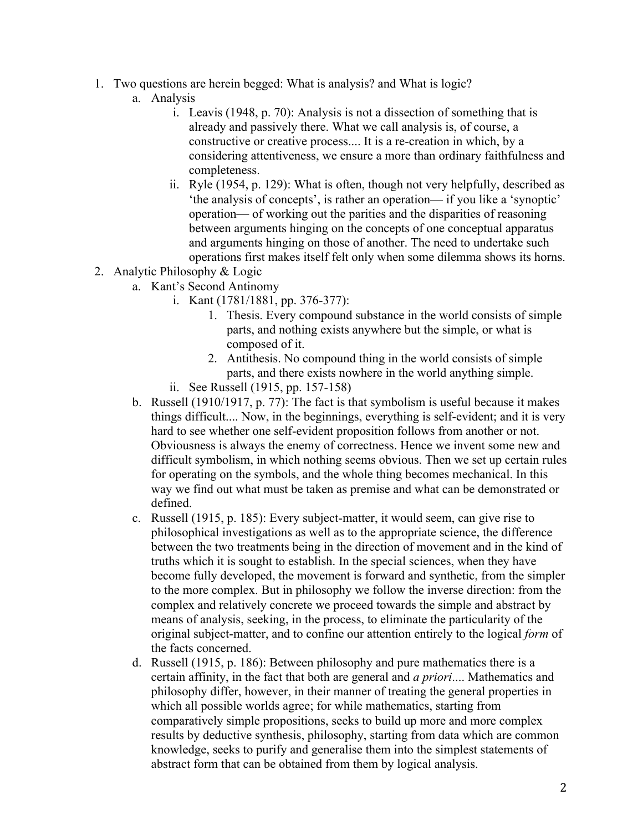- 1. Two questions are herein begged: What is analysis? and What is logic?
	- a. Analysis
		- i. Leavis (1948, p. 70): Analysis is not a dissection of something that is already and passively there. What we call analysis is, of course, a constructive or creative process.... It is a re-creation in which, by a considering attentiveness, we ensure a more than ordinary faithfulness and completeness.
		- ii. Ryle (1954, p. 129): What is often, though not very helpfully, described as 'the analysis of concepts', is rather an operation— if you like a 'synoptic' operation— of working out the parities and the disparities of reasoning between arguments hinging on the concepts of one conceptual apparatus and arguments hinging on those of another. The need to undertake such operations first makes itself felt only when some dilemma shows its horns.
- 2. Analytic Philosophy & Logic
	- a. Kant's Second Antinomy
		- i. Kant (1781/1881, pp. 376-377):
			- 1. Thesis. Every compound substance in the world consists of simple parts, and nothing exists anywhere but the simple, or what is composed of it.
			- 2. Antithesis. No compound thing in the world consists of simple parts, and there exists nowhere in the world anything simple.
		- ii. See Russell (1915, pp. 157-158)
	- b. Russell (1910/1917, p. 77): The fact is that symbolism is useful because it makes things difficult.... Now, in the beginnings, everything is self-evident; and it is very hard to see whether one self-evident proposition follows from another or not. Obviousness is always the enemy of correctness. Hence we invent some new and difficult symbolism, in which nothing seems obvious. Then we set up certain rules for operating on the symbols, and the whole thing becomes mechanical. In this way we find out what must be taken as premise and what can be demonstrated or defined.
	- c. Russell (1915, p. 185): Every subject-matter, it would seem, can give rise to philosophical investigations as well as to the appropriate science, the difference between the two treatments being in the direction of movement and in the kind of truths which it is sought to establish. In the special sciences, when they have become fully developed, the movement is forward and synthetic, from the simpler to the more complex. But in philosophy we follow the inverse direction: from the complex and relatively concrete we proceed towards the simple and abstract by means of analysis, seeking, in the process, to eliminate the particularity of the original subject-matter, and to confine our attention entirely to the logical *form* of the facts concerned.
	- d. Russell (1915, p. 186): Between philosophy and pure mathematics there is a certain affinity, in the fact that both are general and *a priori*.... Mathematics and philosophy differ, however, in their manner of treating the general properties in which all possible worlds agree; for while mathematics, starting from comparatively simple propositions, seeks to build up more and more complex results by deductive synthesis, philosophy, starting from data which are common knowledge, seeks to purify and generalise them into the simplest statements of abstract form that can be obtained from them by logical analysis.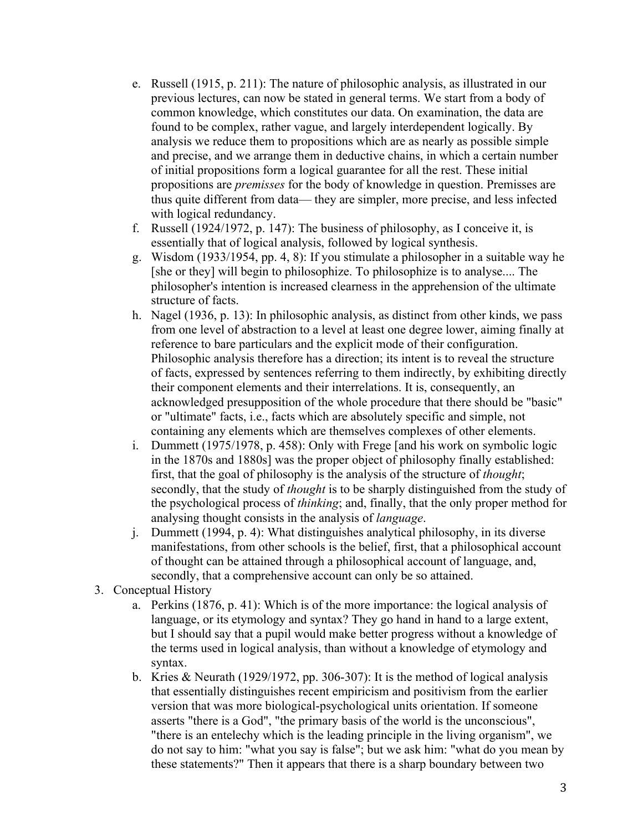- e. Russell (1915, p. 211): The nature of philosophic analysis, as illustrated in our previous lectures, can now be stated in general terms. We start from a body of common knowledge, which constitutes our data. On examination, the data are found to be complex, rather vague, and largely interdependent logically. By analysis we reduce them to propositions which are as nearly as possible simple and precise, and we arrange them in deductive chains, in which a certain number of initial propositions form a logical guarantee for all the rest. These initial propositions are *premisses* for the body of knowledge in question. Premisses are thus quite different from data— they are simpler, more precise, and less infected with logical redundancy.
- f. Russell (1924/1972, p. 147): The business of philosophy, as I conceive it, is essentially that of logical analysis, followed by logical synthesis.
- g. Wisdom (1933/1954, pp. 4, 8): If you stimulate a philosopher in a suitable way he [she or they] will begin to philosophize. To philosophize is to analyse.... The philosopher's intention is increased clearness in the apprehension of the ultimate structure of facts.
- h. Nagel (1936, p. 13): In philosophic analysis, as distinct from other kinds, we pass from one level of abstraction to a level at least one degree lower, aiming finally at reference to bare particulars and the explicit mode of their configuration. Philosophic analysis therefore has a direction; its intent is to reveal the structure of facts, expressed by sentences referring to them indirectly, by exhibiting directly their component elements and their interrelations. It is, consequently, an acknowledged presupposition of the whole procedure that there should be "basic" or "ultimate" facts, i.e., facts which are absolutely specific and simple, not containing any elements which are themselves complexes of other elements.
- i. Dummett (1975/1978, p. 458): Only with Frege [and his work on symbolic logic in the 1870s and 1880s] was the proper object of philosophy finally established: first, that the goal of philosophy is the analysis of the structure of *thought*; secondly, that the study of *thought* is to be sharply distinguished from the study of the psychological process of *thinking*; and, finally, that the only proper method for analysing thought consists in the analysis of *language*.
- j. Dummett (1994, p. 4): What distinguishes analytical philosophy, in its diverse manifestations, from other schools is the belief, first, that a philosophical account of thought can be attained through a philosophical account of language, and, secondly, that a comprehensive account can only be so attained.
- 3. Conceptual History
	- a. Perkins (1876, p. 41): Which is of the more importance: the logical analysis of language, or its etymology and syntax? They go hand in hand to a large extent, but I should say that a pupil would make better progress without a knowledge of the terms used in logical analysis, than without a knowledge of etymology and syntax.
	- b. Kries & Neurath (1929/1972, pp. 306-307): It is the method of logical analysis that essentially distinguishes recent empiricism and positivism from the earlier version that was more biological-psychological units orientation. If someone asserts "there is a God", "the primary basis of the world is the unconscious", "there is an entelechy which is the leading principle in the living organism", we do not say to him: "what you say is false"; but we ask him: "what do you mean by these statements?" Then it appears that there is a sharp boundary between two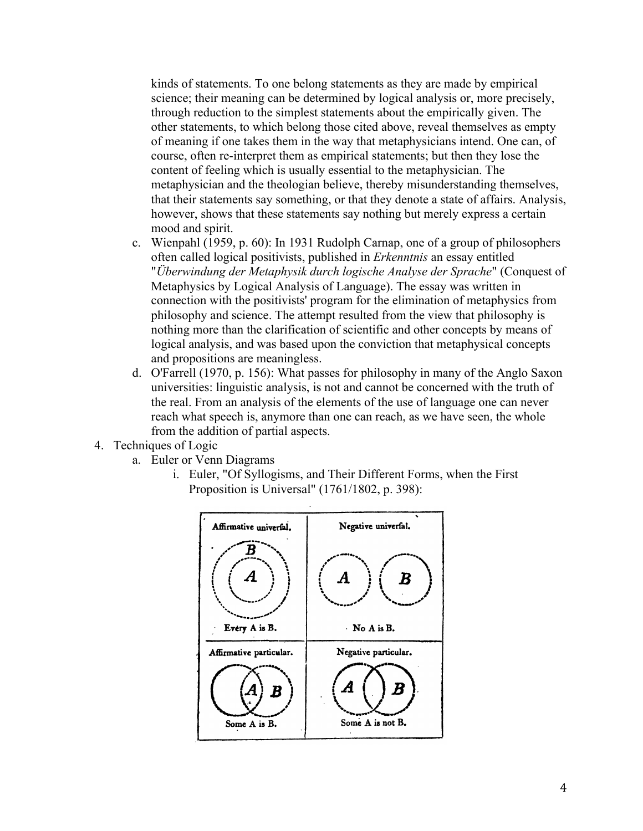kinds of statements. To one belong statements as they are made by empirical science; their meaning can be determined by logical analysis or, more precisely, through reduction to the simplest statements about the empirically given. The other statements, to which belong those cited above, reveal themselves as empty of meaning if one takes them in the way that metaphysicians intend. One can, of course, often re-interpret them as empirical statements; but then they lose the content of feeling which is usually essential to the metaphysician. The metaphysician and the theologian believe, thereby misunderstanding themselves, that their statements say something, or that they denote a state of affairs. Analysis, however, shows that these statements say nothing but merely express a certain mood and spirit.

- c. Wienpahl (1959, p. 60): In 1931 Rudolph Carnap, one of a group of philosophers often called logical positivists, published in *Erkenntnis* an essay entitled "*Überwindung der Metaphysik durch logische Analyse der Sprache*" (Conquest of Metaphysics by Logical Analysis of Language). The essay was written in connection with the positivists' program for the elimination of metaphysics from philosophy and science. The attempt resulted from the view that philosophy is nothing more than the clarification of scientific and other concepts by means of logical analysis, and was based upon the conviction that metaphysical concepts and propositions are meaningless.
- d. O'Farrell (1970, p. 156): What passes for philosophy in many of the Anglo Saxon universities: linguistic analysis, is not and cannot be concerned with the truth of the real. From an analysis of the elements of the use of language one can never reach what speech is, anymore than one can reach, as we have seen, the whole from the addition of partial aspects.
- 4. Techniques of Logic
	- a. Euler or Venn Diagrams
		- i. Euler, "Of Syllogisms, and Their Different Forms, when the First Proposition is Universal" (1761/1802, p. 398):

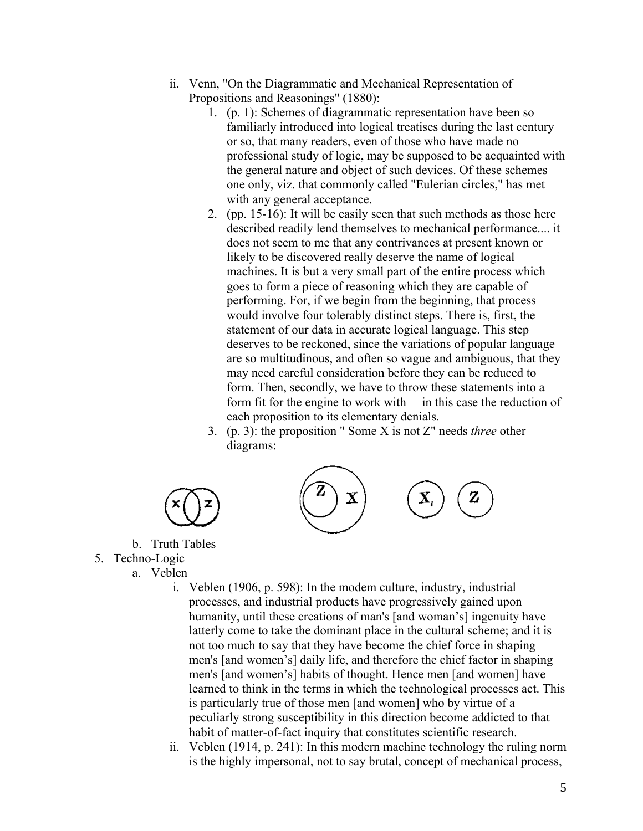- ii. Venn, "On the Diagrammatic and Mechanical Representation of Propositions and Reasonings" (1880):
	- 1. (p. 1): Schemes of diagrammatic representation have been so familiarly introduced into logical treatises during the last century or so, that many readers, even of those who have made no professional study of logic, may be supposed to be acquainted with the general nature and object of such devices. Of these schemes one only, viz. that commonly called "Eulerian circles," has met with any general acceptance.
	- 2. (pp. 15-16): It will be easily seen that such methods as those here described readily lend themselves to mechanical performance.... it does not seem to me that any contrivances at present known or likely to be discovered really deserve the name of logical machines. It is but a very small part of the entire process which goes to form a piece of reasoning which they are capable of performing. For, if we begin from the beginning, that process would involve four tolerably distinct steps. There is, first, the statement of our data in accurate logical language. This step deserves to be reckoned, since the variations of popular language are so multitudinous, and often so vague and ambiguous, that they may need careful consideration before they can be reduced to form. Then, secondly, we have to throw these statements into a form fit for the engine to work with— in this case the reduction of each proposition to its elementary denials.
	- 3. (p. 3): the proposition " Some X is not Z" needs *three* other diagrams:



- b. Truth Tables
- 5. Techno-Logic
	- a. Veblen
		- i. Veblen (1906, p. 598): In the modem culture, industry, industrial processes, and industrial products have progressively gained upon humanity, until these creations of man's [and woman's] ingenuity have latterly come to take the dominant place in the cultural scheme; and it is not too much to say that they have become the chief force in shaping men's [and women's] daily life, and therefore the chief factor in shaping men's [and women's] habits of thought. Hence men [and women] have learned to think in the terms in which the technological processes act. This is particularly true of those men [and women] who by virtue of a peculiarly strong susceptibility in this direction become addicted to that habit of matter-of-fact inquiry that constitutes scientific research.
		- ii. Veblen (1914, p. 241): In this modern machine technology the ruling norm is the highly impersonal, not to say brutal, concept of mechanical process,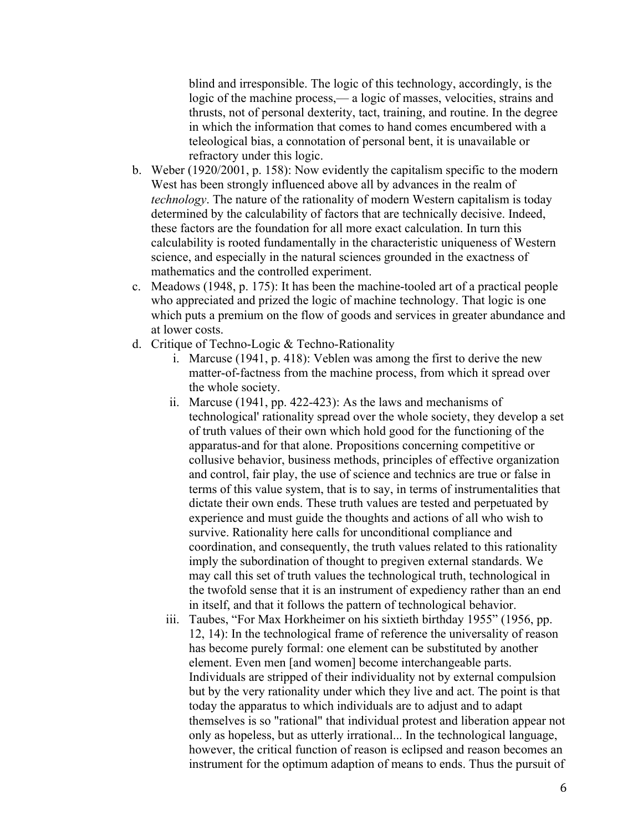blind and irresponsible. The logic of this technology, accordingly, is the logic of the machine process,— a logic of masses, velocities, strains and thrusts, not of personal dexterity, tact, training, and routine. In the degree in which the information that comes to hand comes encumbered with a teleological bias, a connotation of personal bent, it is unavailable or refractory under this logic.

- b. Weber (1920/2001, p. 158): Now evidently the capitalism specific to the modern West has been strongly influenced above all by advances in the realm of *technology*. The nature of the rationality of modern Western capitalism is today determined by the calculability of factors that are technically decisive. Indeed, these factors are the foundation for all more exact calculation. In turn this calculability is rooted fundamentally in the characteristic uniqueness of Western science, and especially in the natural sciences grounded in the exactness of mathematics and the controlled experiment.
- c. Meadows (1948, p. 175): It has been the machine-tooled art of a practical people who appreciated and prized the logic of machine technology. That logic is one which puts a premium on the flow of goods and services in greater abundance and at lower costs.
- d. Critique of Techno-Logic & Techno-Rationality
	- i. Marcuse (1941, p. 418): Veblen was among the first to derive the new matter-of-factness from the machine process, from which it spread over the whole society.
	- ii. Marcuse (1941, pp. 422-423): As the laws and mechanisms of technological' rationality spread over the whole society, they develop a set of truth values of their own which hold good for the functioning of the apparatus-and for that alone. Propositions concerning competitive or collusive behavior, business methods, principles of effective organization and control, fair play, the use of science and technics are true or false in terms of this value system, that is to say, in terms of instrumentalities that dictate their own ends. These truth values are tested and perpetuated by experience and must guide the thoughts and actions of all who wish to survive. Rationality here calls for unconditional compliance and coordination, and consequently, the truth values related to this rationality imply the subordination of thought to pregiven external standards. We may call this set of truth values the technological truth, technological in the twofold sense that it is an instrument of expediency rather than an end in itself, and that it follows the pattern of technological behavior.
	- iii. Taubes, "For Max Horkheimer on his sixtieth birthday 1955" (1956, pp. 12, 14): In the technological frame of reference the universality of reason has become purely formal: one element can be substituted by another element. Even men [and women] become interchangeable parts. Individuals are stripped of their individuality not by external compulsion but by the very rationality under which they live and act. The point is that today the apparatus to which individuals are to adjust and to adapt themselves is so "rational" that individual protest and liberation appear not only as hopeless, but as utterly irrational... In the technological language, however, the critical function of reason is eclipsed and reason becomes an instrument for the optimum adaption of means to ends. Thus the pursuit of